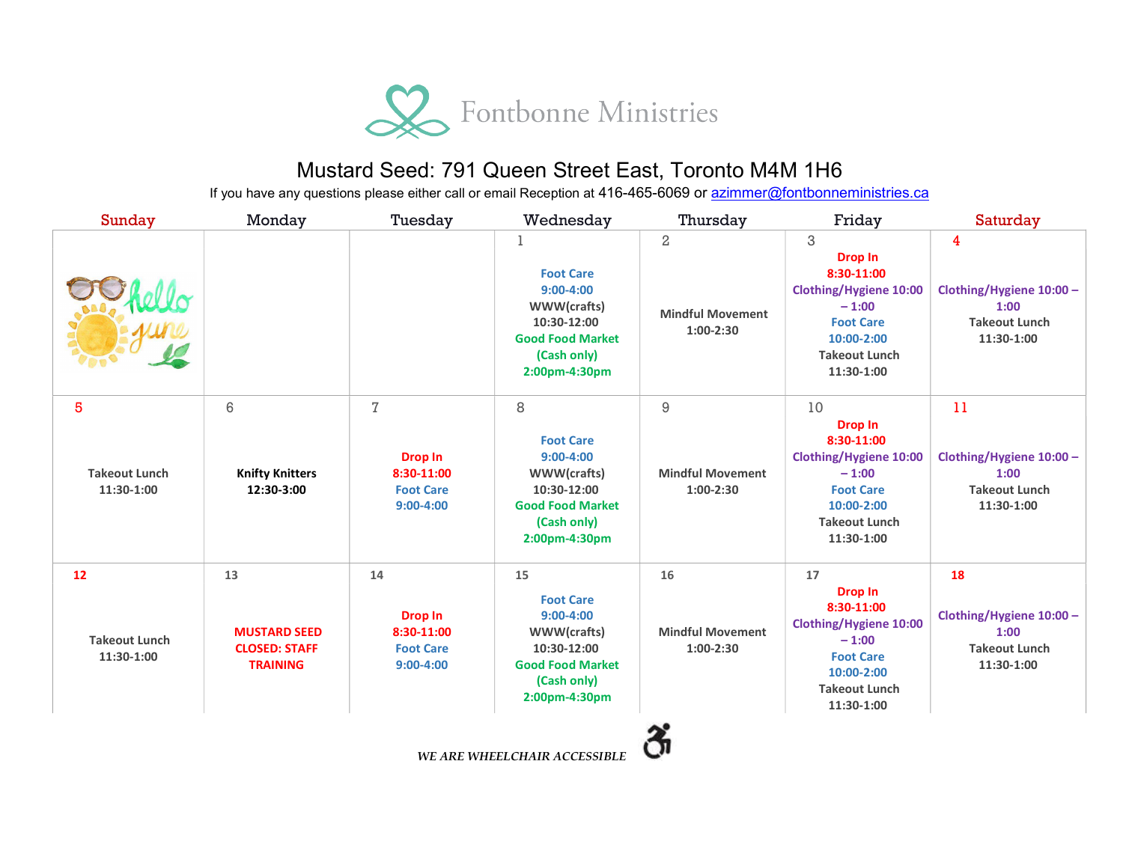

## Mustard Seed: 791 Queen Street East, Toronto M4M 1H6

If you have any questions please either call or email Reception at 416-465-6069 or azimmer@fontbonneministries.ca

| <b>Sunday</b>                            | Monday                                                               | Tuesday                                                                             | Wednesday                                                                                                                      | Thursday                                             | Friday                                                                                                                                                 | Saturday                                                                     |
|------------------------------------------|----------------------------------------------------------------------|-------------------------------------------------------------------------------------|--------------------------------------------------------------------------------------------------------------------------------|------------------------------------------------------|--------------------------------------------------------------------------------------------------------------------------------------------------------|------------------------------------------------------------------------------|
|                                          |                                                                      |                                                                                     | <b>Foot Care</b><br>$9:00-4:00$<br>WWW(crafts)<br>10:30-12:00<br><b>Good Food Market</b><br>(Cash only)<br>2:00pm-4:30pm       | $\,2$<br><b>Mindful Movement</b><br>$1:00-2:30$      | 3<br><b>Drop In</b><br>8:30-11:00<br><b>Clothing/Hygiene 10:00</b><br>$-1:00$<br><b>Foot Care</b><br>10:00-2:00<br><b>Takeout Lunch</b><br>11:30-1:00  | 4<br>Clothing/Hygiene 10:00 -<br>1:00<br><b>Takeout Lunch</b><br>11:30-1:00  |
| 5<br><b>Takeout Lunch</b><br>11:30-1:00  | $6\phantom{1}6$<br><b>Knifty Knitters</b><br>12:30-3:00              | $\overline{I}$<br><b>Drop In</b><br>8:30-11:00<br><b>Foot Care</b><br>$9:00 - 4:00$ | 8<br><b>Foot Care</b><br>$9:00-4:00$<br>WWW(crafts)<br>10:30-12:00<br><b>Good Food Market</b><br>(Cash only)<br>2:00pm-4:30pm  | $\hbox{9}$<br><b>Mindful Movement</b><br>$1:00-2:30$ | 10<br><b>Drop In</b><br>8:30-11:00<br><b>Clothing/Hygiene 10:00</b><br>$-1:00$<br><b>Foot Care</b><br>10:00-2:00<br><b>Takeout Lunch</b><br>11:30-1:00 | 11<br>Clothing/Hygiene 10:00 -<br>1:00<br><b>Takeout Lunch</b><br>11:30-1:00 |
| 12<br><b>Takeout Lunch</b><br>11:30-1:00 | 13<br><b>MUSTARD SEED</b><br><b>CLOSED: STAFF</b><br><b>TRAINING</b> | 14<br><b>Drop In</b><br>8:30-11:00<br><b>Foot Care</b><br>$9:00-4:00$               | 15<br><b>Foot Care</b><br>$9:00-4:00$<br>WWW(crafts)<br>10:30-12:00<br><b>Good Food Market</b><br>(Cash only)<br>2:00pm-4:30pm | 16<br><b>Mindful Movement</b><br>$1:00-2:30$         | 17<br><b>Drop In</b><br>8:30-11:00<br><b>Clothing/Hygiene 10:00</b><br>$-1:00$<br><b>Foot Care</b><br>10:00-2:00<br><b>Takeout Lunch</b><br>11:30-1:00 | 18<br>Clothing/Hygiene 10:00 -<br>1:00<br><b>Takeout Lunch</b><br>11:30-1:00 |
|                                          |                                                                      |                                                                                     | <b>ME ADE MUELL CUAID ACCECIDIE</b>                                                                                            |                                                      |                                                                                                                                                        |                                                                              |

WE ARE WHEELCHAIR ACCESSIBLE